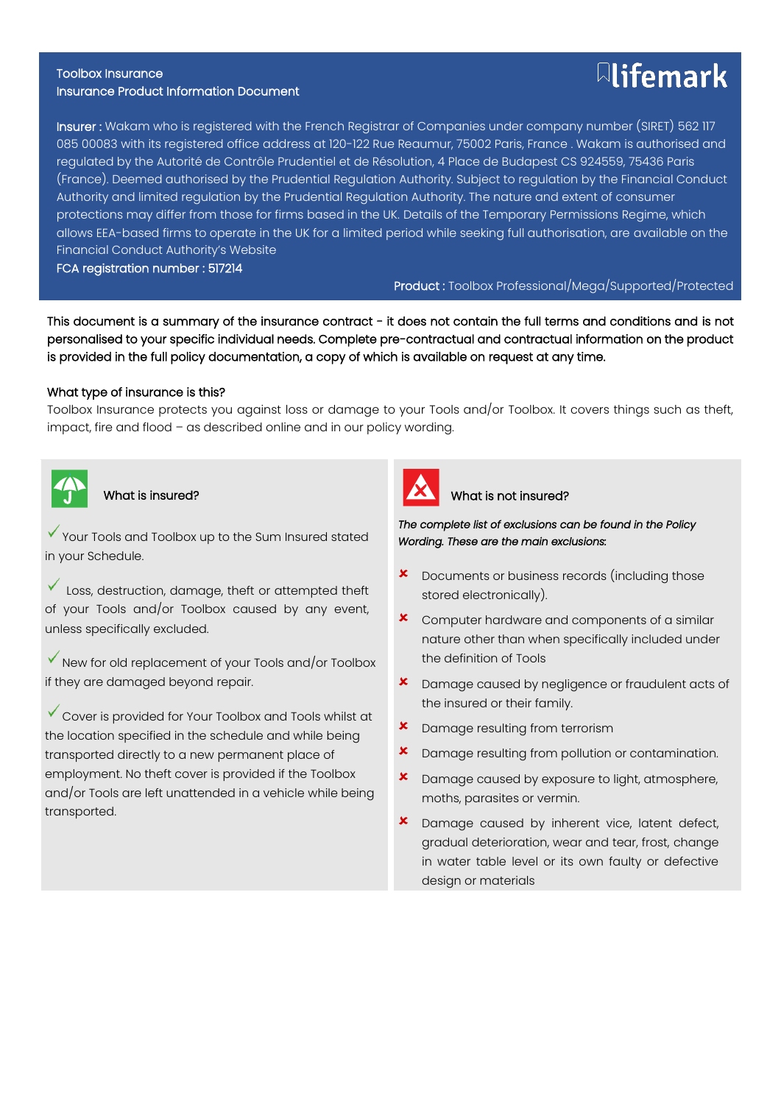#### Toolbox Insurance Insurance Product Information Document

# Insurer : Wakam who is registered with the French Registrar of Companies under company number (SIRET) 562 117 085 00083 with its registered office address at 120-122 Rue Reaumur, 75002 Paris, France . Wakam is authorised and regulated by the Autorité de Contrôle Prudentiel et de Résolution, 4 Place de Budapest CS 924559, 75436 Paris (France). Deemed authorised by the Prudential Regulation Authority. Subject to regulation by the Financial Conduct Authority and limited regulation by the Prudential Regulation Authority. The nature and extent of consumer protections may differ from those for firms based in the UK. Details of the Temporary Permissions Regime, which allows EEA-based firms to operate in the UK for a limited period while seeking full authorisation, are available on the Financial Conduct Authority's Website

FCA registration number : 517214

Product : Toolbox Professional/Mega/Supported/Protected

This document is a summary of the insurance contract - it does not contain the full terms and conditions and is not personalised to your specific individual needs. Complete pre-contractual and contractual information on the product is provided in the full policy documentation, a copy of which is available on request at any time.

# What type of insurance is this?

Toolbox Insurance protects you against loss or damage to your Tools and/or Toolbox. It covers things such as theft, impact, fire and flood – as described online and in our policy wording.



Ξ

What is insured?

Y Your Tools and Toolbox up to the Sum Insured stated in your Schedule.

Loss, destruction, damage, theft or attempted theft of your Tools and/or Toolbox caused by any event, unless specifically excluded.

 $\checkmark$  New for old replacement of your Tools and/or Toolbox if they are damaged beyond repair.

Cover is provided for Your Toolbox and Tools whilst at the location specified in the schedule and while being transported directly to a new permanent place of employment. No theft cover is provided if the Toolbox and/or Tools are left unattended in a vehicle while being transported.



# What is not insured?

*The complete list of exclusions can be found in the Policy Wording. These are the main exclusions:* 

- Documents or business records (including those stored electronically).
- Computer hardware and components of a similar nature other than when specifically included under the definition of Tools
- **x** Damage caused by negligence or fraudulent acts of the insured or their family.
- Damage resulting from terrorism
- **x** Damage resulting from pollution or contamination.
- **\*** Damage caused by exposure to light, atmosphere, moths, parasites or vermin.
- **x** Damage caused by inherent vice, latent defect, gradual deterioration, wear and tear, frost, change in water table level or its own faulty or defective design or materials

# $\boxdot$  ifemark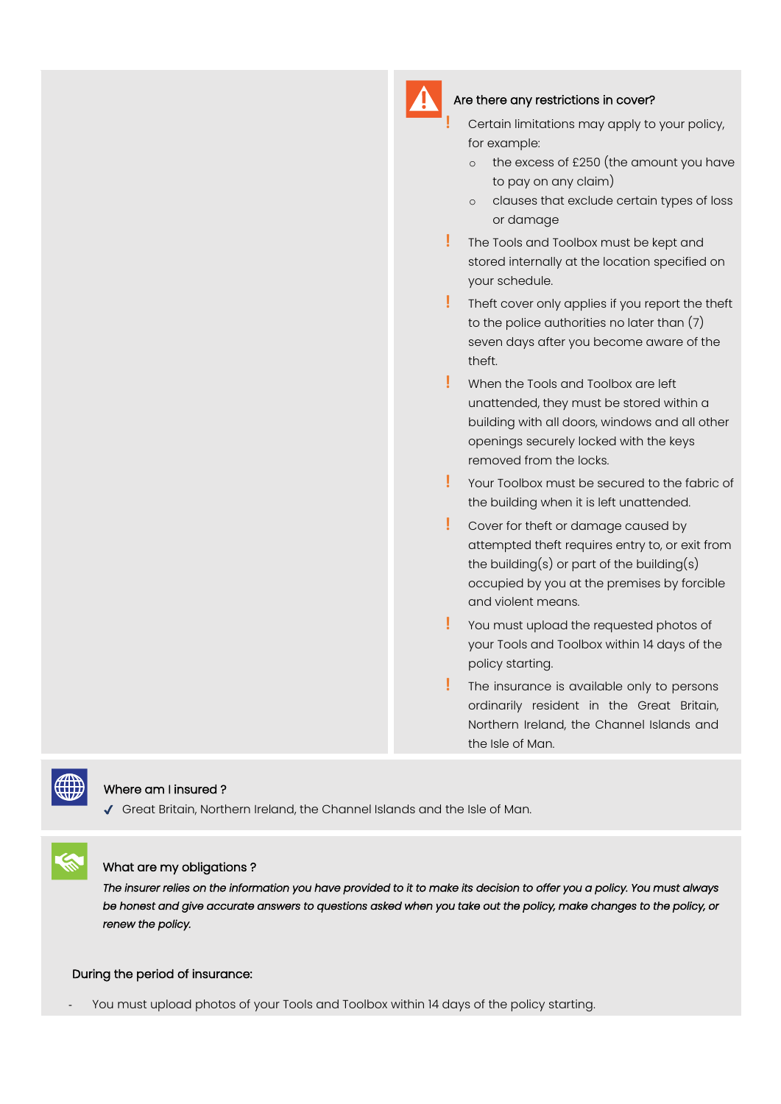# Are there any restrictions in cover?

- **!** Certain limitations may apply to your policy, for example:
- o the excess of £250 (the amount you have to pay on any claim)
- o clauses that exclude certain types of loss or damage
- **!** The Tools and Toolbox must be kept and stored internally at the location specified on your schedule.
- **!** Theft cover only applies if you report the theft to the police authorities no later than (7) seven days after you become aware of the theft.
- **!** When the Tools and Toolbox are left unattended, they must be stored within a building with all doors, windows and all other openings securely locked with the keys removed from the locks.
- **!** Your Toolbox must be secured to the fabric of the building when it is left unattended.
- **!** Cover for theft or damage caused by attempted theft requires entry to, or exit from the building(s) or part of the building(s) occupied by you at the premises by forcible and violent means.
- **!** You must upload the requested photos of your Tools and Toolbox within 14 days of the policy starting.
- **!** The insurance is available only to persons ordinarily resident in the Great Britain, Northern Ireland, the Channel Islands and the Isle of Man.



# Where am I insured ?

✔ Great Britain, Northern Ireland, the Channel Islands and the Isle of Man.



# What are my obligations ?

*The insurer relies on the information you have provided to it to make its decision to offer you a policy. You must always be honest and give accurate answers to questions asked when you take out the policy, make changes to the policy, or renew the policy.* 

#### During the period of insurance:

You must upload photos of your Tools and Toolbox within 14 days of the policy starting.